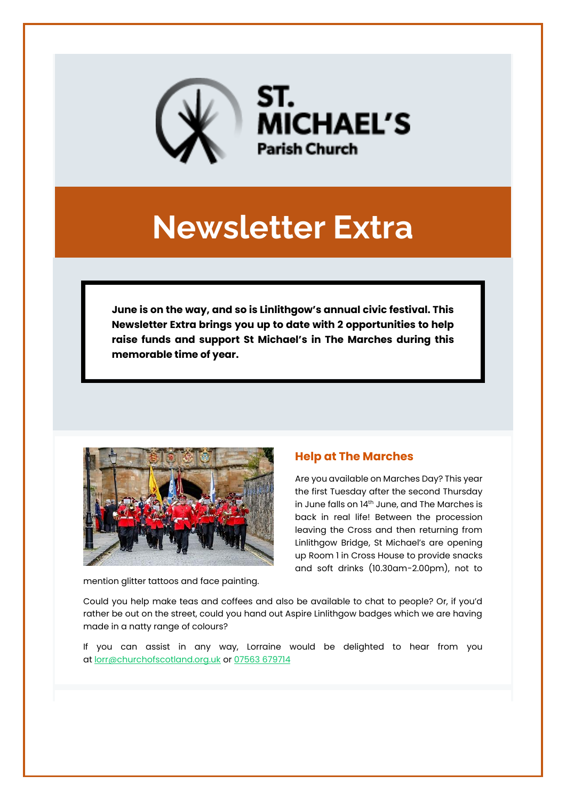

# **Newsletter Extra**

**June is on the way, and so is Linlithgow's annual civic festival. This Newsletter Extra brings you up to date with 2 opportunities to help raise funds and support St Michael's in The Marches during this memorable time of year.**



mention glitter tattoos and face painting.

## **Help at The Marches**

Are you available on Marches Day? This year the first Tuesday after the second Thursday in June falls on 14<sup>th</sup> June, and The Marches is back in real life! Between the procession leaving the Cross and then returning from Linlithgow Bridge, St Michael's are opening up Room 1 in Cross House to provide snacks and soft drinks (10.30am-2.00pm), not to

Could you help make teas and coffees and also be available to chat to people? Or, if you'd rather be out on the street, could you hand out Aspire Linlithgow badges which we are having made in a natty range of colours?

If you can assist in any way, Lorraine would be delighted to hear from you at [lorr@churchofscotland.org.uk](mailto:lorr@churchofscotland.org.uk) or [07563 679714](tel:07563%20679714)